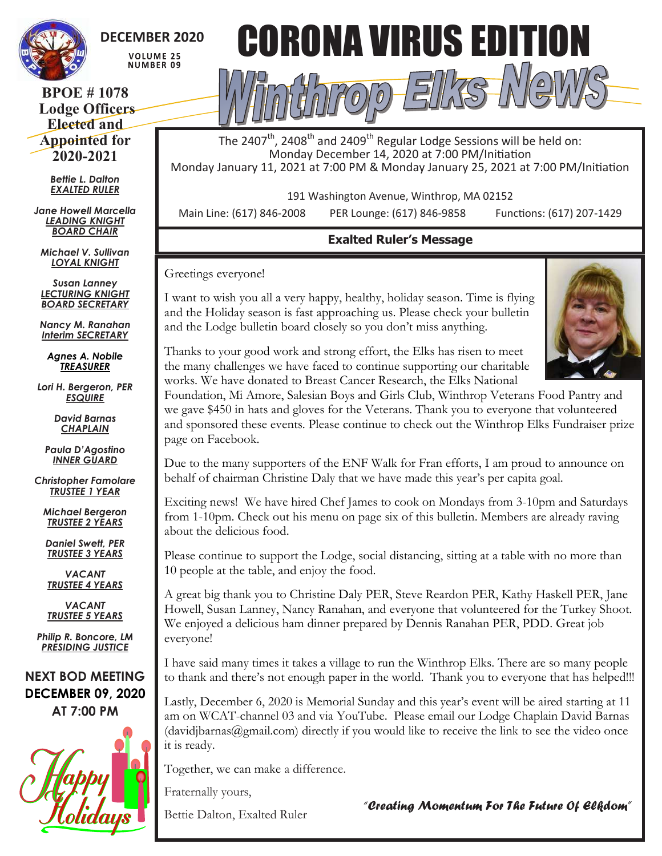

## **DECEMBER 2020**

**VOLUME 25 NUMBER 09** 

**BPOE # 1078 Lodge Officers Elected and Appointed for 2020-2021**

> *Bettie L. Dalton EXALTED RULER*

*Jane Howell Marcella LEADING KNIGHT BOARD CHAIR*

*Michael V. Sullivan LOYAL KNIGHT*

*Susan Lanney LECTURING KNIGHT BOARD SECRETARY*

*Nancy M. Ranahan Interim SECRETARY*

*Agnes A. Nobile TREASURER*

*Lori H. Bergeron, PER ESQUIRE*

> *David Barnas CHAPLAIN*

*Paula D'Agostino INNER GUARD*

*Christopher Famolare TRUSTEE 1 YEAR*

*Michael Bergeron TRUSTEE 2 YEARS*

*Daniel Swett, PER TRUSTEE 3 YEARS*

*VACANT TRUSTEE 4 YEARS*

*VACANT TRUSTEE 5 YEARS*

*Philip R. Boncore, LM PRESIDING JUSTICE*

**NEXT BOD MEETING DECEMBER 09, 2020 AT 7:00 PM**





The 2407<sup>th</sup>, 2408<sup>th</sup> and 2409<sup>th</sup> Regular Lodge Sessions will be held on: Monday December 14, 2020 at 7:00 PM/Initiation Monday January 11, 2021 at 7:00 PM & Monday January 25, 2021 at 7:00 PM/Initiation

191 Washington Avenue, Winthrop, MA 02152

Main Line: (617) 846-2008 PER Lounge: (617) 846-9858 Functions: (617) 207-1429

## **Exalted Ruler's Message**

Greetings everyone!

I want to wish you all a very happy, healthy, holiday season. Time is flying and the Holiday season is fast approaching us. Please check your bulletin and the Lodge bulletin board closely so you don't miss anything.



Thanks to your good work and strong effort, the Elks has risen to meet the many challenges we have faced to continue supporting our charitable works. We have donated to Breast Cancer Research, the Elks National

Foundation, Mi Amore, Salesian Boys and Girls Club, Winthrop Veterans Food Pantry and we gave \$450 in hats and gloves for the Veterans. Thank you to everyone that volunteered and sponsored these events. Please continue to check out the Winthrop Elks Fundraiser prize page on Facebook.

Due to the many supporters of the ENF Walk for Fran efforts, I am proud to announce on behalf of chairman Christine Daly that we have made this year's per capita goal.

Exciting news! We have hired Chef James to cook on Mondays from 3-10pm and Saturdays from 1-10pm. Check out his menu on page six of this bulletin. Members are already raving about the delicious food.

Please continue to support the Lodge, social distancing, sitting at a table with no more than 10 people at the table, and enjoy the food.

A great big thank you to Christine Daly PER, Steve Reardon PER, Kathy Haskell PER, Jane Howell, Susan Lanney, Nancy Ranahan, and everyone that volunteered for the Turkey Shoot. We enjoyed a delicious ham dinner prepared by Dennis Ranahan PER, PDD. Great job everyone!

I have said many times it takes a village to run the Winthrop Elks. There are so many people to thank and there's not enough paper in the world. Thank you to everyone that has helped!!!

Lastly, December 6, 2020 is Memorial Sunday and this year's event will be aired starting at 11 am on WCAT-channel 03 and via YouTube. Please email our Lodge Chaplain David Barnas (davidjbarnas@gmail.com) directly if you would like to receive the link to see the video once it is ready.

Together, we can make a difference.

Fraternally yours,

Bettie Dalton, Exalted Ruler

*"Creating Momentum For The Future Of Elkdom"*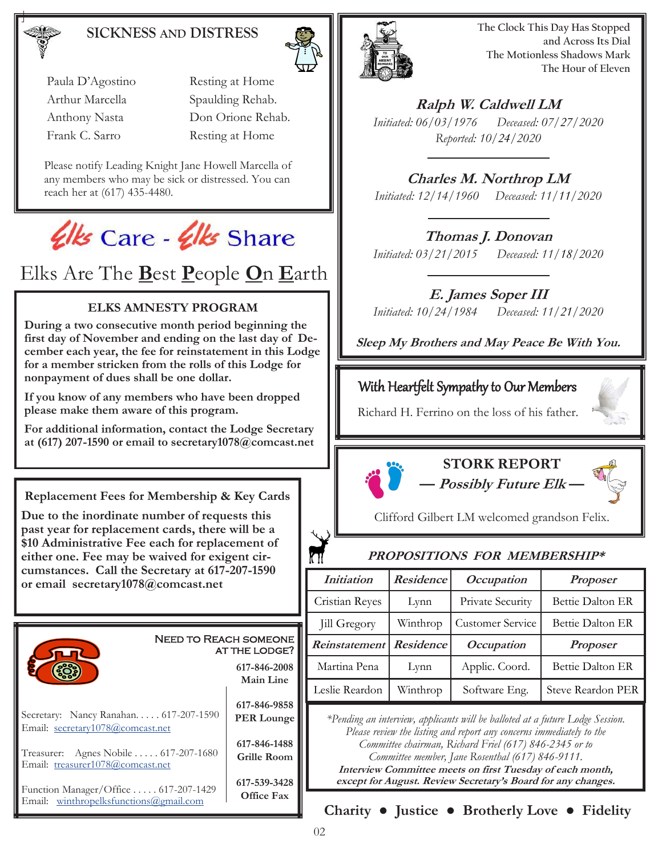### **SICKNESS AND DISTRESS**



Please notify Leading Knight Jane Howell Marcella of any members who may be sick or distressed. You can reach her at (617) 435-4480.



Elks Are The **B**est **P**eople **O**n **E**arth

#### **ELKS AMNESTY PROGRAM**

**During a two consecutive month period beginning the first day of November and ending on the last day of December each year, the fee for reinstatement in this Lodge for a member stricken from the rolls of this Lodge for nonpayment of dues shall be one dollar.** 

**If you know of any members who have been dropped please make them aware of this program.** 

**For additional information, contact the Lodge Secretary at (617) 207-1590 or email to secretary1078@comcast.net**

**Replacement Fees for Membership & Key Cards**

**Due to the inordinate number of requests this past year for replacement cards, there will be a \$10 Administrative Fee each for replacement of either one. Fee may be waived for exigent circumstances. Call the Secretary at 617-207-1590 or email secretary1078@comcast.net** 





**The Clock This Day Has Stopped and Across Its Dial The Motionless Shadows Mark The Hour of Eleven**

**Ralph W. Caldwell LM** *Initiated: 06/03/1976 Deceased: 07/27/2020 Reported: 10/24/2020*

**Charles M. Northrop LM** *Initiated: 12/14/1960 Deceased: 11/11/2020*

### **Thomas J. Donovan**

*Initiated: 03/21/2015 Deceased: 11/18/2020*

#### **E. James Soper III**

*Initiated: 10/24/1984 Deceased: 11/21/2020*

**Sleep My Brothers and May Peace Be With You.**

### With Heartfelt Sympathy to Our Members

Richard H. Ferrino on the loss of his father.



## **STORK REPORT**

**— Possibly Future Elk —**

Clifford Gilbert LM welcomed grandson Felix.

#### **PROPOSITIONS FOR MEMBERSHIP\***

| <i>Initiation</i>         | Residence | <i>Occupation</i> | <b>Proposer</b>   |
|---------------------------|-----------|-------------------|-------------------|
| Cristian Reyes            | Lynn      | Private Security  | Bettie Dalton ER  |
| Jill Gregory              | Winthrop  | Customer Service  | Bettie Dalton ER  |
| Reinstatement   Residence |           | <i>Occupation</i> | <b>Proposer</b>   |
| Martina Pena              | Lynn      | Applic. Coord.    | Bettie Dalton ER  |
| Leslie Reardon            | Winthrop  | Software Eng.     | Steve Reardon PER |

*\*Pending an interview, applicants will be balloted at a future Lodge Session. Please review the listing and report any concerns immediately to the Committee chairman, Richard Friel (617) 846-2345 or to Committee member, Jane Rosenthal (617) 846-9111.*

**Interview Committee meets on first Tuesday of each month, except for August. Review Secretary's Board for any changes.**

**Charity ● Justice ● Brotherly Love ● Fidelity**

kП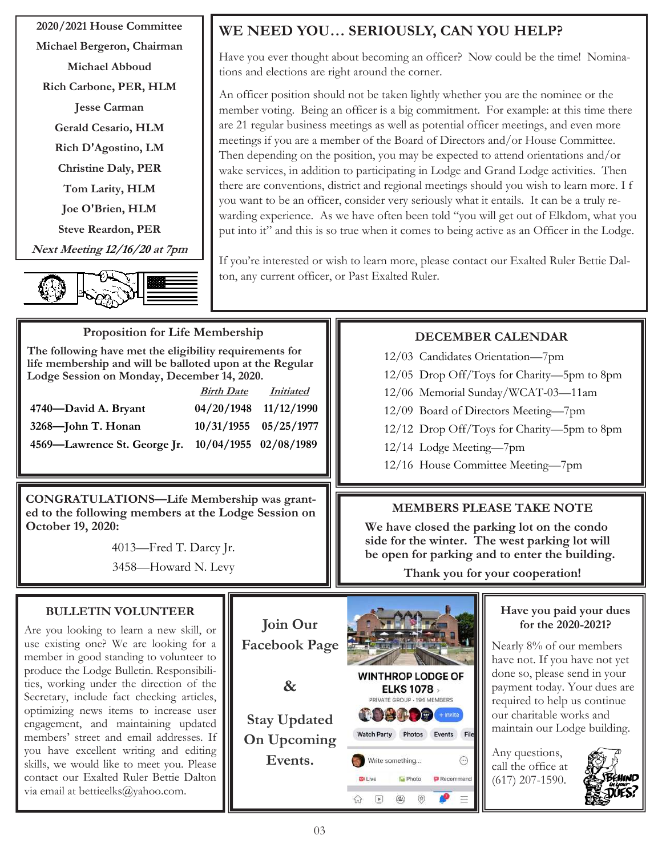**2020/2021 House Committee Michael Bergeron, Chairman Michael Abboud Rich Carbone, PER, HLM Jesse Carman Gerald Cesario, HLM Rich D'Agostino, LM Christine Daly, PER Tom Larity, HLM Joe O'Brien, HLM Steve Reardon, PER Next Meeting 12/16/20 at 7pm**



## **WE NEED YOU… SERIOUSLY, CAN YOU HELP?**

Have you ever thought about becoming an officer? Now could be the time! Nominations and elections are right around the corner.

An officer position should not be taken lightly whether you are the nominee or the member voting. Being an officer is a big commitment. For example: at this time there are 21 regular business meetings as well as potential officer meetings, and even more meetings if you are a member of the Board of Directors and/or House Committee. Then depending on the position, you may be expected to attend orientations and/or wake services, in addition to participating in Lodge and Grand Lodge activities. Then there are conventions, district and regional meetings should you wish to learn more. I f you want to be an officer, consider very seriously what it entails. It can be a truly rewarding experience. As we have often been told "you will get out of Elkdom, what you put into it" and this is so true when it comes to being active as an Officer in the Lodge.

If you're interested or wish to learn more, please contact our Exalted Ruler Bettie Dalton, any current officer, or Past Exalted Ruler.

## **Proposition for Life Membership**

**The following have met the eligibility requirements for life membership and will be balloted upon at the Regular Lodge Session on Monday, December 14, 2020.**

|                              | <b>Birth Date</b>     | <i>Initiated</i>      |
|------------------------------|-----------------------|-----------------------|
| 4740—David A. Bryant         |                       | 04/20/1948 11/12/1990 |
| 3268-John T. Honan           |                       | 10/31/1955 05/25/1977 |
| 4569—Lawrence St. George Jr. | 10/04/1955 02/08/1989 |                       |

**CONGRATULATIONS—Life Membership was granted to the following members at the Lodge Session on October 19, 2020:** 

> 4013—Fred T. Darcy Jr. 3458—Howard N. Levy

## **DECEMBER CALENDAR**

- 12/03 Candidates Orientation—7pm
- 12/05 Drop Off/Toys for Charity—5pm to 8pm
- 12/06 Memorial Sunday/WCAT-03—11am
- 12/09 Board of Directors Meeting—7pm
- 12/12 Drop Off/Toys for Charity—5pm to 8pm
- 12/14 Lodge Meeting—7pm
- 12/16 House Committee Meeting—7pm

#### **MEMBERS PLEASE TAKE NOTE**

**We have closed the parking lot on the condo side for the winter. The west parking lot will be open for parking and to enter the building.**

**Thank you for your cooperation!**

#### **BULLETIN VOLUNTEER**

Are you looking to learn a new skill, or use existing one? We are looking for a member in good standing to volunteer to produce the Lodge Bulletin. Responsibilities, working under the direction of the Secretary, include fact checking articles, optimizing news items to increase user engagement, and maintaining updated members' street and email addresses. If you have excellent writing and editing skills, we would like to meet you. Please contact our Exalted Ruler Bettie Dalton via email at bettieelks@yahoo.com.



#### **Have you paid your dues for the 2020-2021?**

Nearly 8% of our members have not. If you have not yet done so, please send in your payment today. Your dues are required to help us continue our charitable works and maintain our Lodge building.

Any questions, call the office at (617) 207-1590.

 $\odot$ 

Recommend

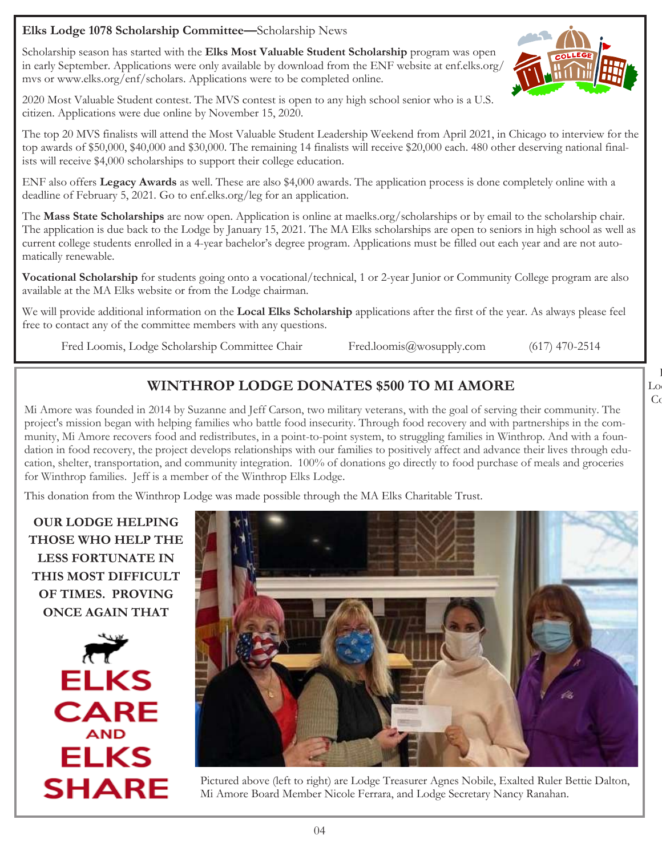Scholarship season has started with the **Elks Most Valuable Student Scholarship** program was open in early September. Applications were only available by download from the ENF website at enf.elks.org/ mvs or www.elks.org/enf/scholars. Applications were to be completed online.

2020 Most Valuable Student contest. The MVS contest is open to any high school senior who is a U.S. citizen. Applications were due online by November 15, 2020.

The top 20 MVS finalists will attend the Most Valuable Student Leadership Weekend from April 2021, in Chicago to interview for the top awards of \$50,000, \$40,000 and \$30,000. The remaining 14 finalists will receive \$20,000 each. 480 other deserving national finalists will receive \$4,000 scholarships to support their college education.

ENF also offers **Legacy Awards** as well. These are also \$4,000 awards. The application process is done completely online with a deadline of February 5, 2021. Go to enf.elks.org/leg for an application.

The **Mass State Scholarships** are now open. Application is online at maelks.org/scholarships or by email to the scholarship chair. The application is due back to the Lodge by January 15, 2021. The MA Elks scholarships are open to seniors in high school as well as current college students enrolled in a 4-year bachelor's degree program. Applications must be filled out each year and are not automatically renewable.

**Vocational Scholarship** for students going onto a vocational/technical, 1 or 2-year Junior or Community College program are also available at the MA Elks website or from the Lodge chairman.

We will provide additional information on the **Local Elks Scholarship** applications after the first of the year. As always please feel free to contact any of the committee members with any questions.

Fred Loomis, Lodge Scholarship Committee Chair Fred.loomis@wosupply.com (617) 470-2514

## **WINTHROP LODGE DONATES \$500 TO MI AMORE**

Mi Amore was founded in 2014 by Suzanne and Jeff Carson, two military veterans, with the goal of serving their community. The project's mission began with helping families who battle food insecurity. Through food recovery and with partnerships in the community, Mi Amore recovers food and redistributes, in a point-to-point system, to struggling families in Winthrop. And with a foundation in food recovery, the project develops relationships with our families to positively affect and advance their lives through education, shelter, transportation, and community integration. 100% of donations go directly to food purchase of meals and groceries for Winthrop families. Jeff is a member of the Winthrop Elks Lodge.

This donation from the Winthrop Lodge was made possible through the MA Elks Charitable Trust.

**OUR LODGE HELPING THOSE WHO HELP THE LESS FORTUNATE IN THIS MOST DIFFICULT OF TIMES. PROVING ONCE AGAIN THAT** 





Pictured above (left to right) are Lodge Treasurer Agnes Nobile, Exalted Ruler Bettie Dalton, Mi Amore Board Member Nicole Ferrara, and Lodge Secretary Nancy Ranahan.

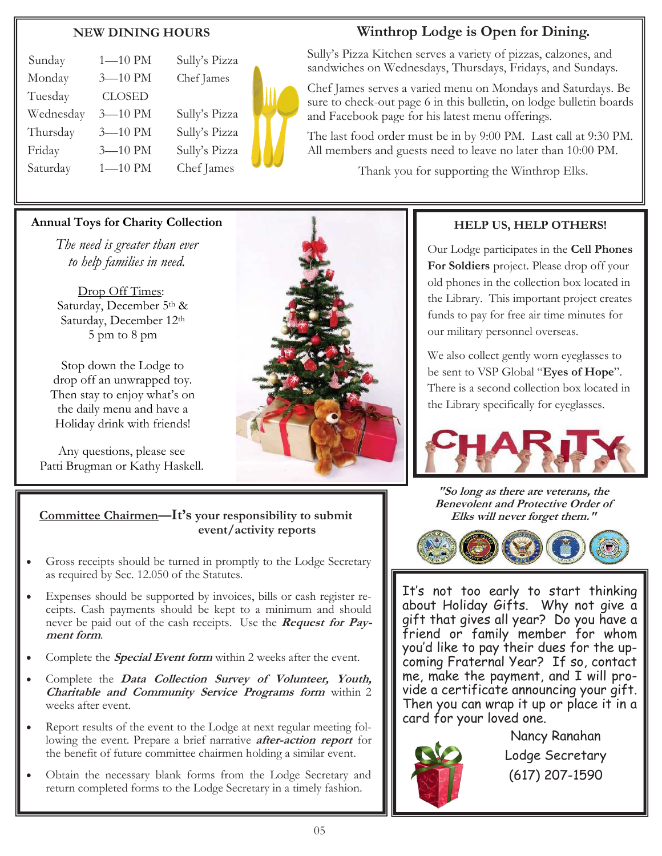#### **NEW DINING HOURS**

| Sunday    | $1 - 10$ PM   | Sully's Pizza |
|-----------|---------------|---------------|
| Monday    | 3-10 PM       | Chef James    |
| Tuesday   | <b>CLOSED</b> |               |
| Wednesday | 3-10 PM       | Sully's Pizza |
| Thursday  | $3 - 10$ PM   | Sully's Pizza |
| Friday    | 3-10 PM       | Sully's Pizza |
| Saturday  | $1 - 10$ PM   | Chef James    |
|           |               |               |



### **Winthrop Lodge is Open for Dining.**

Sully's Pizza Kitchen serves a variety of pizzas, calzones, and sandwiches on Wednesdays, Thursdays, Fridays, and Sundays.

Chef James serves a varied menu on Mondays and Saturdays. Be sure to check-out page 6 in this bulletin, on lodge bulletin boards and Facebook page for his latest menu offerings.

The last food order must be in by 9:00 PM. Last call at 9:30 PM. All members and guests need to leave no later than 10:00 PM.

Thank you for supporting the Winthrop Elks.

#### **Annual Toys for Charity Collection**

*The need is greater than ever to help families in need.*

Drop Off Times: Saturday, December 5th & Saturday, December 12th 5 pm to 8 pm

Stop down the Lodge to drop off an unwrapped toy. Then stay to enjoy what's on the daily menu and have a Holiday drink with friends!

Any questions, please see Patti Brugman or Kathy Haskell.



#### **HELP US, HELP OTHERS!**

Our Lodge participates in the **Cell Phones For Soldiers** project. Please drop off your old phones in the collection box located in the Library. This important project creates funds to pay for free air time minutes for our military personnel overseas.

We also collect gently worn eyeglasses to be sent to VSP Global "**Eyes of Hope**". There is a second collection box located in the Library specifically for eyeglasses.



**"So long as there are veterans, the Benevolent and Protective Order of** 



It's not too early to start thinking about Holiday Gifts. Why not give a gift that gives all year? Do you have a friend or family member for whom you'd like to pay their dues for the upcoming Fraternal Year? If so, contact me, make the payment, and I will provide a certificate announcing your gift. Then you can wrap it up or place it in a card for your loved one.



Nancy Ranahan Lodge Secretary (617) 207-1590

#### **Committee Chairmen—It's** your responsibility to submit **Elks** will never forget them."  **event/activity reports**

- Gross receipts should be turned in promptly to the Lodge Secretary as required by Sec. 12.050 of the Statutes.
- Expenses should be supported by invoices, bills or cash register receipts. Cash payments should be kept to a minimum and should never be paid out of the cash receipts. Use the **Request for Payment form**.
- Complete the **Special Event form** within 2 weeks after the event.
- Complete the **Data Collection Survey of Volunteer, Youth, Charitable and Community Service Programs form** within 2 weeks after event.
- Report results of the event to the Lodge at next regular meeting following the event. Prepare a brief narrative **after-action report** for the benefit of future committee chairmen holding a similar event.
- Obtain the necessary blank forms from the Lodge Secretary and return completed forms to the Lodge Secretary in a timely fashion.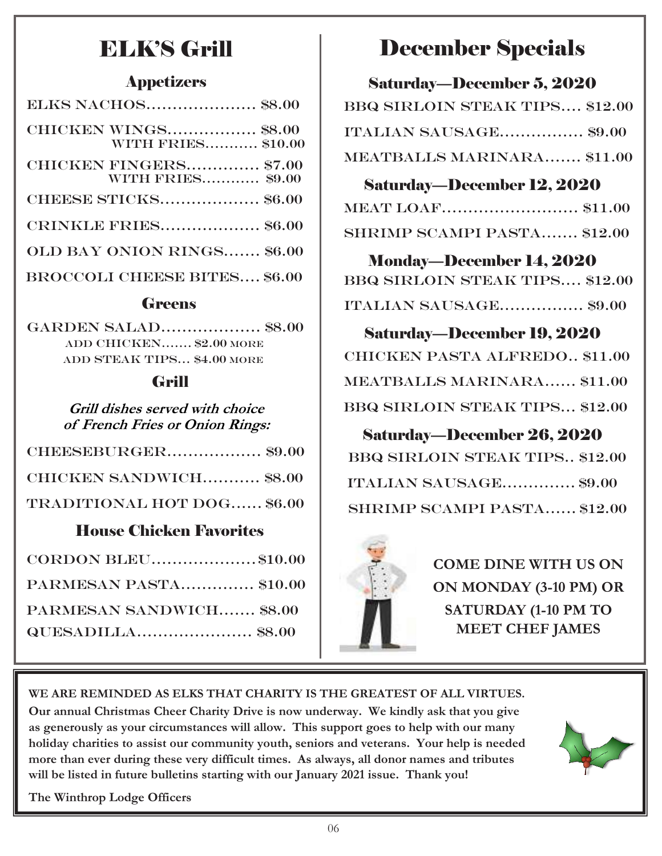# ELK'S Grill

### Appetizers

| <b>ELKS NACHOS \$8.00</b>                                 |
|-----------------------------------------------------------|
| <b>CHICKEN WINGS \$8.00</b><br><b>WITH FRIES \$10.00</b>  |
| <b>CHICKEN FINGERS \$7.00</b><br><b>WITH FRIES \$9.00</b> |
| <b>CHEESE STICKS \$6.00</b>                               |
| <b>CRINKLE FRIES \$6.00</b>                               |
| OLD BAY ONION RINGS \$6.00                                |
| <b>BROCCOLI CHEESE BITES \$6.00</b>                       |
|                                                           |

### **Greens**

Garden Salad…………..….. \$8.00 ADD CHICKEN……. \$2.00 more ADD STEAK TIPS... \$4.00 MORE

## Grill

**Grill dishes served with choice of French Fries or Onion Rings:**

| CHEESEBURGER\$9.00                |  |
|-----------------------------------|--|
| <b>CHICKEN SANDWICH \$8.00</b>    |  |
| <b>TRADITIONAL HOT DOG \$6.00</b> |  |

## House Chicken Favorites

| CORDON BLEU\$10.00       |  |
|--------------------------|--|
| PARMESAN PASTA \$10.00   |  |
| PARMESAN SANDWICH \$8.00 |  |
|                          |  |

# December Specials

| Saturday—December 5, 2020             |
|---------------------------------------|
| <b>BBQ SIRLOIN STEAK TIPS \$12.00</b> |
| ITALIAN SAUSAGE\$9.00                 |
| MEATBALLS MARINARA \$11.00            |

#### Saturday—December 12, 2020  $MEMMLOAR$   $\qquad \qquad \bullet 11.00$

| <b>SHRIMP SCAMPI PASTA \$12.00</b> |  |
|------------------------------------|--|

Monday—December 14, 2020 Bbq Sirloin steak tips…. \$12.00 Italian sausage……...….… \$9.00

Saturday—December 19, 2020 Chicken pasta alfredo.. \$11.00 Meatballs marinara...… \$11.00 Bbq Sirloin steak tips... \$12.00

## Saturday—December 26, 2020 Bbq Sirloin steak tips.. \$12.00 Italian sausage……….…. \$9.00 SHRIMP SCAMPI PASTA...... \$12.00



**COME DINE WITH US ON ON MONDAY (3-10 PM) OR SATURDAY (1-10 PM TO MEET CHEF JAMES** 

# **WE ARE REMINDED AS ELKS THAT CHARITY IS THE GREATEST OF ALL VIRTUES.**

**Our annual Christmas Cheer Charity Drive is now underway. We kindly ask that you give as generously as your circumstances will allow. This support goes to help with our many holiday charities to assist our community youth, seniors and veterans. Your help is needed more than ever during these very difficult times. As always, all donor names and tributes will be listed in future bulletins starting with our January 2021 issue. Thank you!**



**The Winthrop Lodge Officers**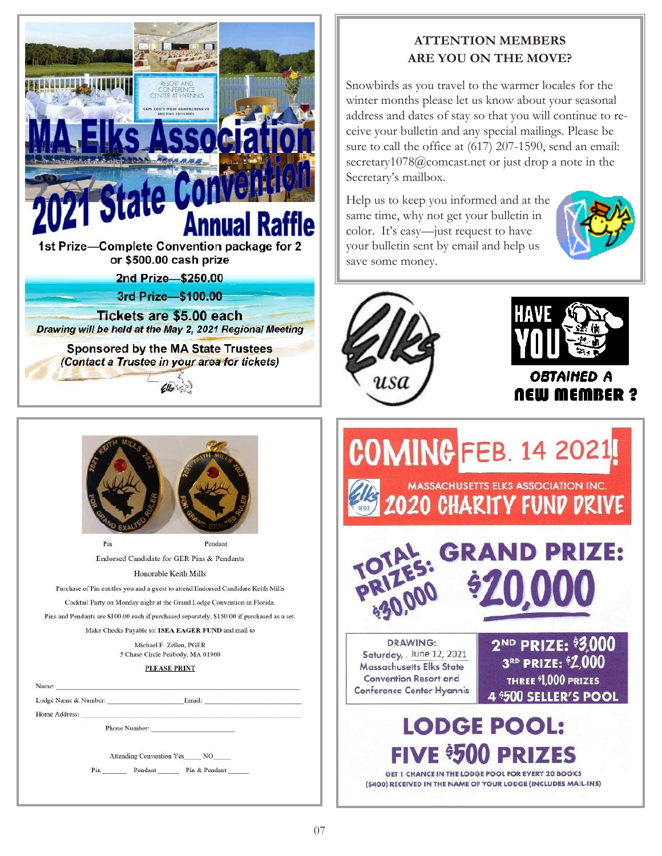



Pendant Pin Endorsed Candidate for GER Pins & Pendants Honorable Keith Mills

Purchase of Pin entitles you and a guest to attend Endorsed Candidate Keith Mills Cocktail Party on Monday night at the Grand Lodge Convention in Florida.

Pins and Pendants are \$100.00 each if purchased separately, \$150.00 if purchased as a set.

Make Checks Payable to: ISEA EAGER FUND and mail to

Michael F. Zellen, PGER 5 Chase Circle Peabody, MA 01960

#### **PLEASE PRINT**

| Lodge Name & Number:            | Email: |  |
|---------------------------------|--------|--|
| Home Address:                   |        |  |
| Phone Number:                   |        |  |
| <b>Attending Convention Yes</b> | NO     |  |

#### **ATTENTION MEMBERS ARE YOU ON THE MOVE?**

Snowbirds as you travel to the warmer locales for the winter months please let us know about your seasonal address and dates of stay so that you will continue to receive your bulletin and any special mailings. Please be sure to call the office at (617) 207-1590, send an email: secretary1078@comcast.net or just drop a note in the Secretary's mailbox.

Help us to keep you informed and at the same time, why not get your bulletin in color. It's easy—just request to have your bulletin sent by email and help us save some money.







**OBTAINED A NEW MEMBER ?** 



GET 1 CHANCE IN THE LODGE POOL FOR EVERY 20 BOOKS (\$400) RECEIVED IN THE NAME OF YOUR LODGE (INCLUDES MAIL-INS)